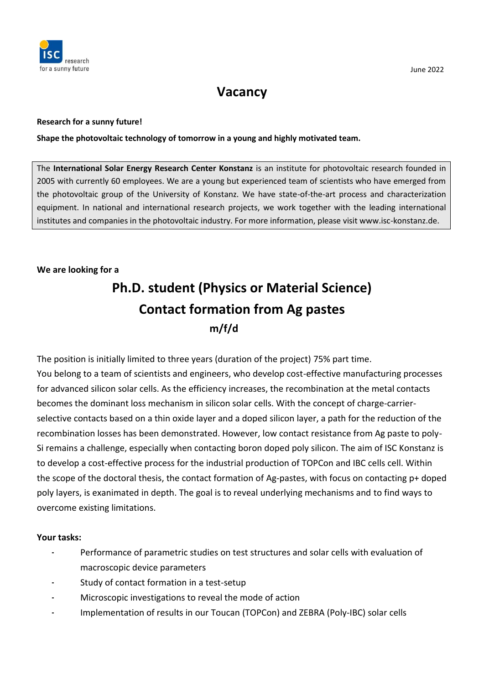

## **Vacancy**

#### **Research for a sunny future!**

**Shape the photovoltaic technology of tomorrow in a young and highly motivated team.**

The **International Solar Energy Research Center Konstanz** is an institute for photovoltaic research founded in 2005 with currently 60 employees. We are a young but experienced team of scientists who have emerged from the photovoltaic group of the University of Konstanz. We have state-of-the-art process and characterization equipment. In national and international research projects, we work together with the leading international institutes and companies in the photovoltaic industry. For more information, please visit www.isc-konstanz.de.

### **We are looking for a**

# **Ph.D. student (Physics or Material Science) Contact formation from Ag pastes m/f/d**

The position is initially limited to three years (duration of the project) 75% part time. You belong to a team of scientists and engineers, who develop cost-effective manufacturing processes for advanced silicon solar cells. As the efficiency increases, the recombination at the metal contacts becomes the dominant loss mechanism in silicon solar cells. With the concept of charge-carrierselective contacts based on a thin oxide layer and a doped silicon layer, a path for the reduction of the recombination losses has been demonstrated. However, low contact resistance from Ag paste to poly-Si remains a challenge, especially when contacting boron doped poly silicon. The aim of ISC Konstanz is to develop a cost-effective process for the industrial production of TOPCon and IBC cells cell. Within the scope of the doctoral thesis, the contact formation of Ag-pastes, with focus on contacting p+ doped poly layers, is exanimated in depth. The goal is to reveal underlying mechanisms and to find ways to overcome existing limitations.

### **Your tasks:**

- Performance of parametric studies on test structures and solar cells with evaluation of macroscopic device parameters
- Study of contact formation in a test-setup
- Microscopic investigations to reveal the mode of action
- Implementation of results in our Toucan (TOPCon) and ZEBRA (Poly-IBC) solar cells